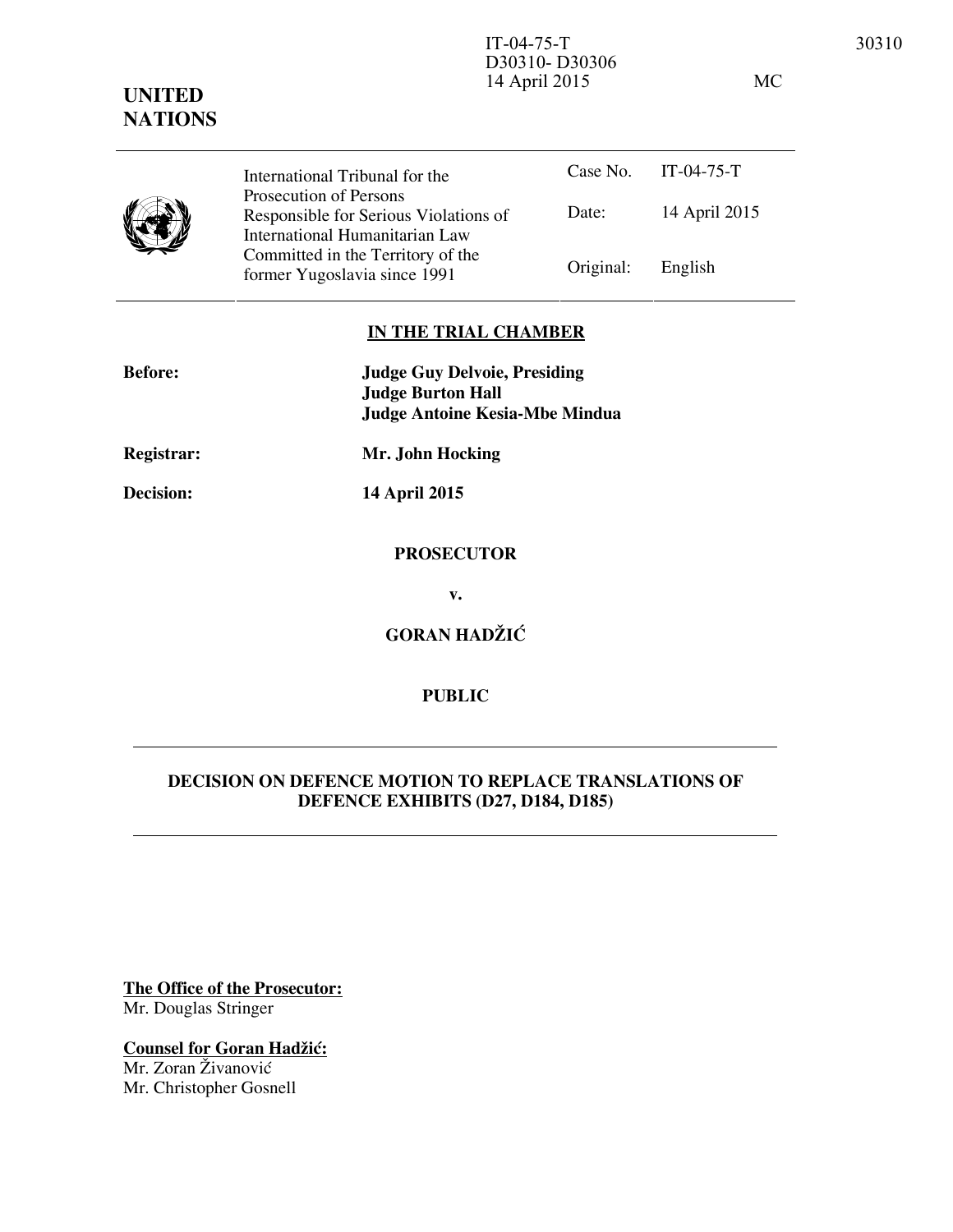# **UNITED NATIONS** D30310- D30306 14 April 2015 MC



Case No. IT-04-75-T Date: 14 April 2015 International Tribunal for the Prosecution of Persons Responsible for Serious Violations of International Humanitarian Law Committed in the Territory of the Former Yugoslavia since 1991 Original: English

## **IN THE TRIAL CHAMBER**

| <b>Before:</b>    | <b>Judge Guy Delvoie, Presiding</b><br><b>Judge Burton Hall</b> |
|-------------------|-----------------------------------------------------------------|
|                   | <b>Judge Antoine Kesia-Mbe Mindua</b>                           |
| <b>Registrar:</b> | Mr. John Hocking                                                |
| <b>Decision:</b>  | 14 April 2015                                                   |
|                   | <b>PROSECUTOR</b>                                               |
|                   | v.                                                              |
|                   | <b>GORAN HADŽIĆ</b>                                             |
|                   |                                                                 |

# **PUBLIC**

## **DECISION ON DEFENCE MOTION TO REPLACE TRANSLATIONS OF DEFENCE EXHIBITS (D27, D184, D185)**

**The Office of the Prosecutor:** Mr. Douglas Stringer

**Counsel for Goran Hadžić:** Mr. Zoran Živanović Mr. Christopher Gosnell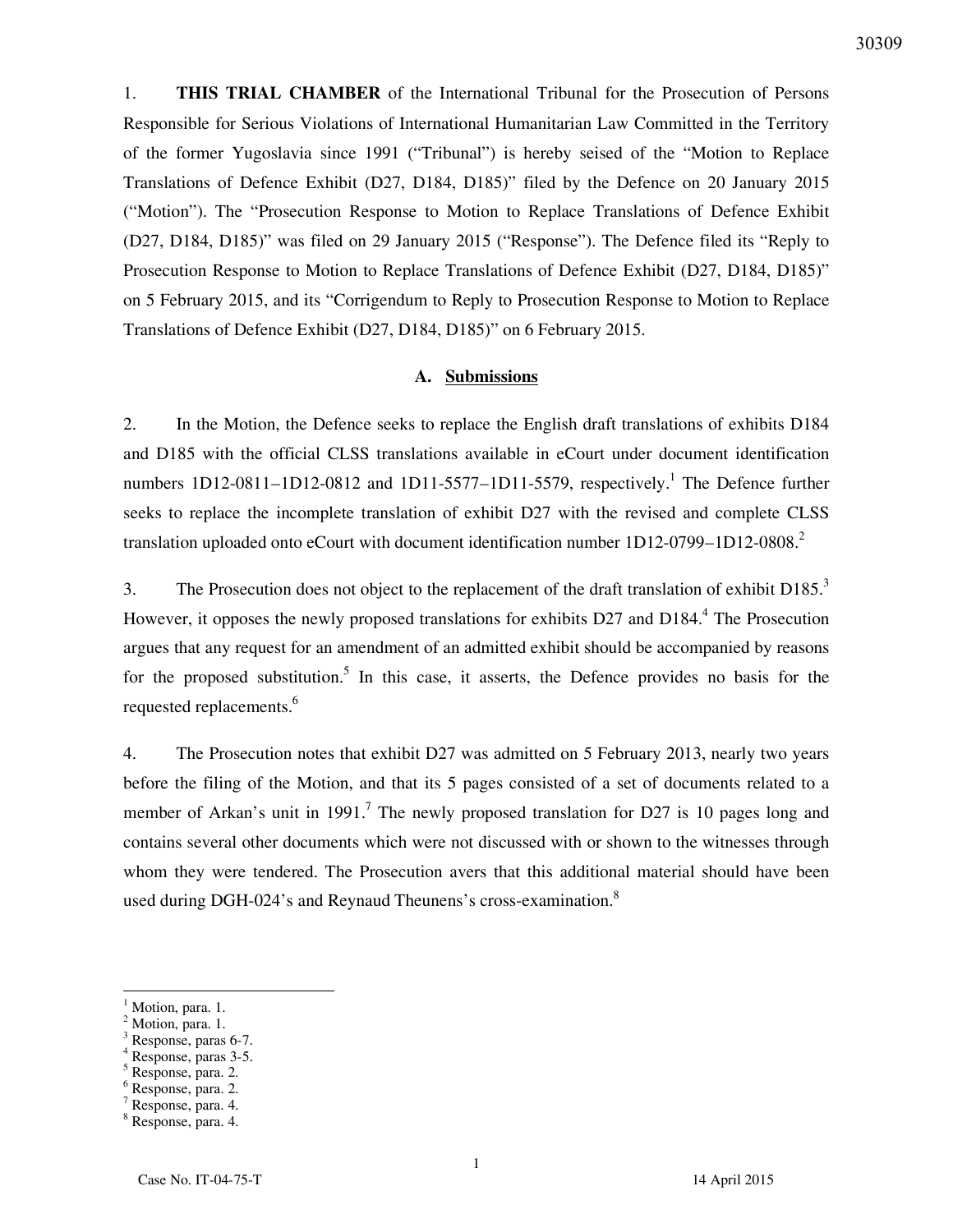1. **THIS TRIAL CHAMBER** of the International Tribunal for the Prosecution of Persons Responsible for Serious Violations of International Humanitarian Law Committed in the Territory of the former Yugoslavia since 1991 ("Tribunal") is hereby seised of the "Motion to Replace Translations of Defence Exhibit (D27, D184, D185)" filed by the Defence on 20 January 2015 ("Motion"). The "Prosecution Response to Motion to Replace Translations of Defence Exhibit (D27, D184, D185)" was filed on 29 January 2015 ("Response"). The Defence filed its "Reply to Prosecution Response to Motion to Replace Translations of Defence Exhibit (D27, D184, D185)" on 5 February 2015, and its "Corrigendum to Reply to Prosecution Response to Motion to Replace Translations of Defence Exhibit (D27, D184, D185)" on 6 February 2015.

#### **A. Submissions**

2. In the Motion, the Defence seeks to replace the English draft translations of exhibits D184 and D185 with the official CLSS translations available in eCourt under document identification numbers  $1D12-0811-1D12-0812$  and  $1D11-5577-1D11-5579$ , respectively.<sup>1</sup> The Defence further seeks to replace the incomplete translation of exhibit D27 with the revised and complete CLSS translation uploaded onto eCourt with document identification number 1D12-0799-1D12-0808.<sup>2</sup>

3. The Prosecution does not object to the replacement of the draft translation of exhibit D185.<sup>3</sup> However, it opposes the newly proposed translations for exhibits D27 and D184.<sup>4</sup> The Prosecution argues that any request for an amendment of an admitted exhibit should be accompanied by reasons for the proposed substitution.<sup>5</sup> In this case, it asserts, the Defence provides no basis for the requested replacements.<sup>6</sup>

4. The Prosecution notes that exhibit D27 was admitted on 5 February 2013, nearly two years before the filing of the Motion, and that its 5 pages consisted of a set of documents related to a member of Arkan's unit in 1991.<sup>7</sup> The newly proposed translation for D27 is 10 pages long and contains several other documents which were not discussed with or shown to the witnesses through whom they were tendered. The Prosecution avers that this additional material should have been used during DGH-024's and Reynaud Theunens's cross-examination. $8$ 

 $\overline{a}$ 

2 Motion, para. 1.

<sup>1</sup> Motion, para. 1.

<sup>3</sup> Response, paras 6-7. 4

Response, paras 3-5.

<sup>5</sup> Response, para. 2.

<sup>6</sup> Response, para. 2.

<sup>7</sup> Response, para. 4.

<sup>8</sup> Response, para. 4.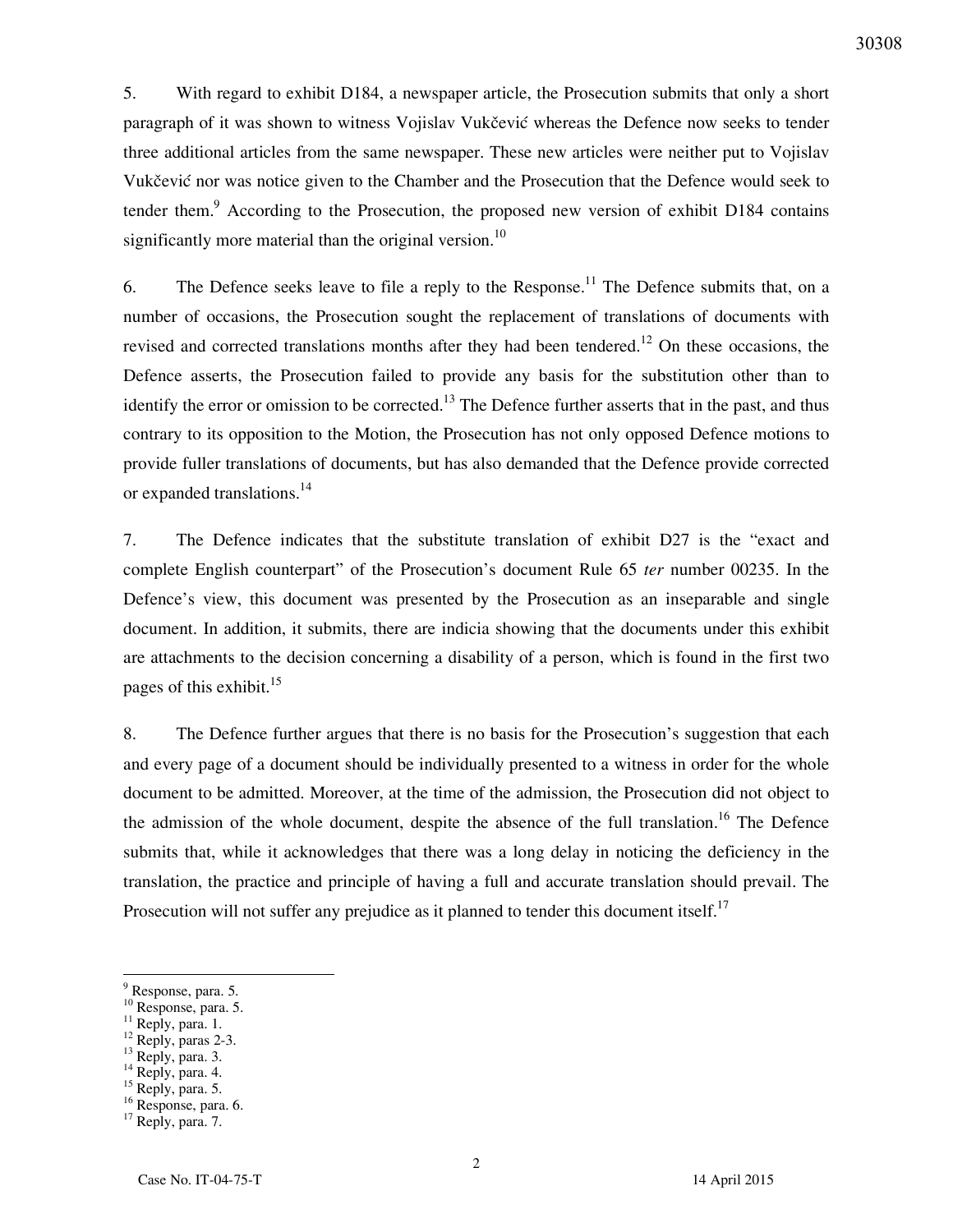5. With regard to exhibit D184, a newspaper article, the Prosecution submits that only a short paragraph of it was shown to witness Vojislav Vukčević whereas the Defence now seeks to tender three additional articles from the same newspaper. These new articles were neither put to Vojislav Vukčević nor was notice given to the Chamber and the Prosecution that the Defence would seek to tender them.<sup>9</sup> According to the Prosecution, the proposed new version of exhibit D184 contains significantly more material than the original version.<sup>10</sup>

6. The Defence seeks leave to file a reply to the Response.<sup>11</sup> The Defence submits that, on a number of occasions, the Prosecution sought the replacement of translations of documents with revised and corrected translations months after they had been tendered.<sup>12</sup> On these occasions, the Defence asserts, the Prosecution failed to provide any basis for the substitution other than to identify the error or omission to be corrected.<sup>13</sup> The Defence further asserts that in the past, and thus contrary to its opposition to the Motion, the Prosecution has not only opposed Defence motions to provide fuller translations of documents, but has also demanded that the Defence provide corrected or expanded translations.<sup>14</sup>

7. The Defence indicates that the substitute translation of exhibit D27 is the "exact and complete English counterpart" of the Prosecution's document Rule 65 *ter* number 00235. In the Defence's view, this document was presented by the Prosecution as an inseparable and single document. In addition, it submits, there are indicia showing that the documents under this exhibit are attachments to the decision concerning a disability of a person, which is found in the first two pages of this exhibit. $^{15}$ 

8. The Defence further argues that there is no basis for the Prosecution's suggestion that each and every page of a document should be individually presented to a witness in order for the whole document to be admitted. Moreover, at the time of the admission, the Prosecution did not object to the admission of the whole document, despite the absence of the full translation.<sup>16</sup> The Defence submits that, while it acknowledges that there was a long delay in noticing the deficiency in the translation, the practice and principle of having a full and accurate translation should prevail. The Prosecution will not suffer any prejudice as it planned to tender this document itself.<sup>17</sup>

2

 $\overline{a}$ 

<sup>9</sup> Response, para. 5.

<sup>10</sup> Response, para. 5.

 $11$  Reply, para. 1.

 $12$  Reply, paras 2-3.

 $^{13}$  Reply, para. 3.

<sup>&</sup>lt;sup>14</sup> Reply, para. 4.

 $15$  Reply, para. 5.

<sup>&</sup>lt;sup>16</sup> Response, para. 6.

<sup>&</sup>lt;sup>17</sup> Reply, para. 7.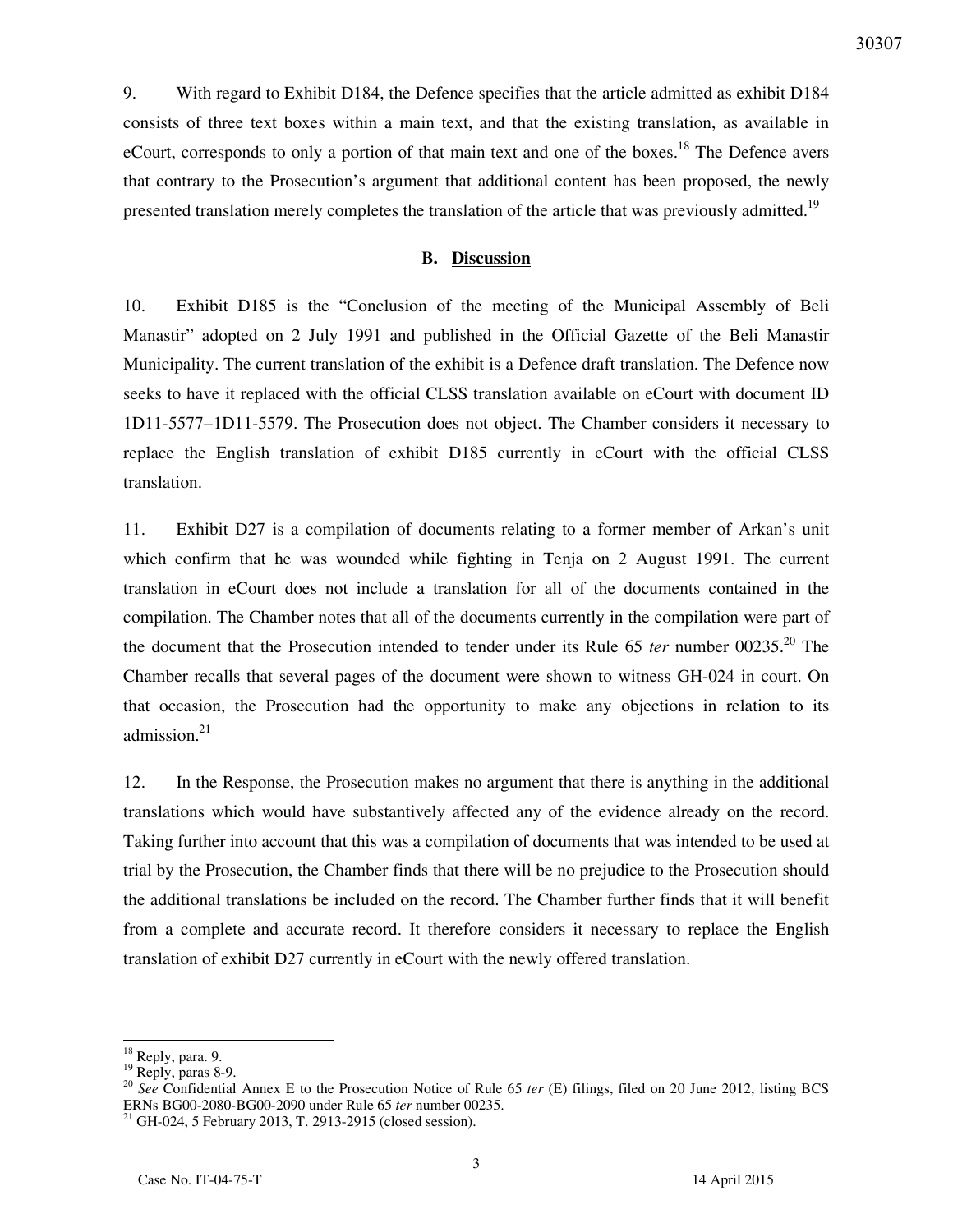30307

9. With regard to Exhibit D184, the Defence specifies that the article admitted as exhibit D184 consists of three text boxes within a main text, and that the existing translation, as available in eCourt, corresponds to only a portion of that main text and one of the boxes.<sup>18</sup> The Defence avers that contrary to the Prosecution's argument that additional content has been proposed, the newly presented translation merely completes the translation of the article that was previously admitted.<sup>19</sup>

#### **B. Discussion**

10. Exhibit D185 is the "Conclusion of the meeting of the Municipal Assembly of Beli Manastir" adopted on 2 July 1991 and published in the Official Gazette of the Beli Manastir Municipality. The current translation of the exhibit is a Defence draft translation. The Defence now seeks to have it replaced with the official CLSS translation available on eCourt with document ID 1D11-5577–1D11-5579. The Prosecution does not object. The Chamber considers it necessary to replace the English translation of exhibit D185 currently in eCourt with the official CLSS translation.

11. Exhibit D27 is a compilation of documents relating to a former member of Arkan's unit which confirm that he was wounded while fighting in Tenja on 2 August 1991. The current translation in eCourt does not include a translation for all of the documents contained in the compilation. The Chamber notes that all of the documents currently in the compilation were part of the document that the Prosecution intended to tender under its Rule 65 *ter* number 00235.<sup>20</sup> The Chamber recalls that several pages of the document were shown to witness GH-024 in court. On that occasion, the Prosecution had the opportunity to make any objections in relation to its admission.<sup>21</sup>

12. In the Response, the Prosecution makes no argument that there is anything in the additional translations which would have substantively affected any of the evidence already on the record. Taking further into account that this was a compilation of documents that was intended to be used at trial by the Prosecution, the Chamber finds that there will be no prejudice to the Prosecution should the additional translations be included on the record. The Chamber further finds that it will benefit from a complete and accurate record. It therefore considers it necessary to replace the English translation of exhibit D27 currently in eCourt with the newly offered translation.

<sup>&</sup>lt;sup>18</sup> Reply, para. 9.

<sup>19</sup> Reply, paras 8-9.

<sup>&</sup>lt;sup>20</sup> See Confidential Annex E to the Prosecution Notice of Rule 65 *ter* (E) filings, filed on 20 June 2012, listing BCS ERNs BG00-2080-BG00-2090 under Rule 65 *ter* number 00235.

 $^{21}$  GH-024, 5 February 2013, T. 2913-2915 (closed session).